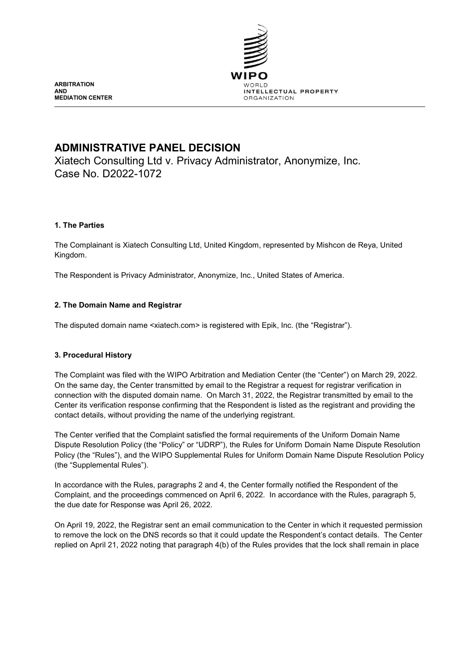

**ARBITRATION AND MEDIATION CENTER**

# **ADMINISTRATIVE PANEL DECISION**

Xiatech Consulting Ltd v. Privacy Administrator, Anonymize, Inc. Case No. D2022-1072

# **1. The Parties**

The Complainant is Xiatech Consulting Ltd, United Kingdom, represented by Mishcon de Reya, United Kingdom.

The Respondent is Privacy Administrator, Anonymize, Inc., United States of America.

# **2. The Domain Name and Registrar**

The disputed domain name <xiatech.com> is registered with Epik, Inc. (the "Registrar").

# **3. Procedural History**

The Complaint was filed with the WIPO Arbitration and Mediation Center (the "Center") on March 29, 2022. On the same day, the Center transmitted by email to the Registrar a request for registrar verification in connection with the disputed domain name. On March 31, 2022, the Registrar transmitted by email to the Center its verification response confirming that the Respondent is listed as the registrant and providing the contact details, without providing the name of the underlying registrant.

The Center verified that the Complaint satisfied the formal requirements of the Uniform Domain Name Dispute Resolution Policy (the "Policy" or "UDRP"), the Rules for Uniform Domain Name Dispute Resolution Policy (the "Rules"), and the WIPO Supplemental Rules for Uniform Domain Name Dispute Resolution Policy (the "Supplemental Rules").

In accordance with the Rules, paragraphs 2 and 4, the Center formally notified the Respondent of the Complaint, and the proceedings commenced on April 6, 2022. In accordance with the Rules, paragraph 5, the due date for Response was April 26, 2022.

On April 19, 2022, the Registrar sent an email communication to the Center in which it requested permission to remove the lock on the DNS records so that it could update the Respondent's contact details. The Center replied on April 21, 2022 noting that paragraph 4(b) of the Rules provides that the lock shall remain in place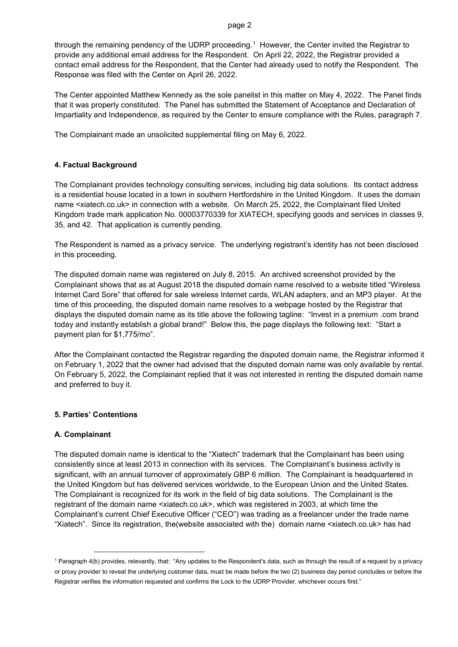through the remaining pendency of the UDRP proceeding.[1](#page-1-0) However, the Center invited the Registrar to provide any additional email address for the Respondent. On April 22, 2022, the Registrar provided a contact email address for the Respondent, that the Center had already used to notify the Respondent. The Response was filed with the Center on April 26, 2022.

The Center appointed Matthew Kennedy as the sole panelist in this matter on May 4, 2022. The Panel finds that it was properly constituted. The Panel has submitted the Statement of Acceptance and Declaration of Impartiality and Independence, as required by the Center to ensure compliance with the Rules, paragraph 7.

The Complainant made an unsolicited supplemental filing on May 6, 2022.

#### **4. Factual Background**

The Complainant provides technology consulting services, including big data solutions. Its contact address is a residential house located in a town in southern Hertfordshire in the United Kingdom. It uses the domain name <xiatech.co.uk> in connection with a website. On March 25, 2022, the Complainant filed United Kingdom trade mark application No. 00003770339 for XIATECH, specifying goods and services in classes 9, 35, and 42. That application is currently pending.

The Respondent is named as a privacy service. The underlying registrant's identity has not been disclosed in this proceeding.

The disputed domain name was registered on July 8, 2015. An archived screenshot provided by the Complainant shows that as at August 2018 the disputed domain name resolved to a website titled "Wireless Internet Card Sore" that offered for sale wireless Internet cards, WLAN adapters, and an MP3 player. At the time of this proceeding, the disputed domain name resolves to a webpage hosted by the Registrar that displays the disputed domain name as its title above the following tagline: "Invest in a premium .com brand today and instantly establish a global brand!" Below this, the page displays the following text: "Start a payment plan for \$1,775/mo".

After the Complainant contacted the Registrar regarding the disputed domain name, the Registrar informed it on February 1, 2022 that the owner had advised that the disputed domain name was only available by rental. On February 5, 2022, the Complainant replied that it was not interested in renting the disputed domain name and preferred to buy it.

#### **5. Parties' Contentions**

-

#### **A. Complainant**

The disputed domain name is identical to the "Xiatech" trademark that the Complainant has been using consistently since at least 2013 in connection with its services. The Complainant's business activity is significant, with an annual turnover of approximately GBP 6 million. The Complainant is headquartered in the United Kingdom but has delivered services worldwide, to the European Union and the United States. The Complainant is recognized for its work in the field of big data solutions. The Complainant is the registrant of the domain name <xiatech.co.uk>, which was registered in 2003, at which time the Complainant's current Chief Executive Officer ("CEO") was trading as a freelancer under the trade name "Xiatech". Since its registration, the(website associated with the) domain name <xiatech.co.uk> has had

<span id="page-1-0"></span><sup>1</sup> Paragraph 4(b) provides, relevantly, that: "Any updates to the Respondent's data, such as through the result of a request by a privacy or proxy provider to reveal the underlying customer data, must be made before the two (2) business day period concludes or before the Registrar verifies the information requested and confirms the Lock to the UDRP Provider, whichever occurs first."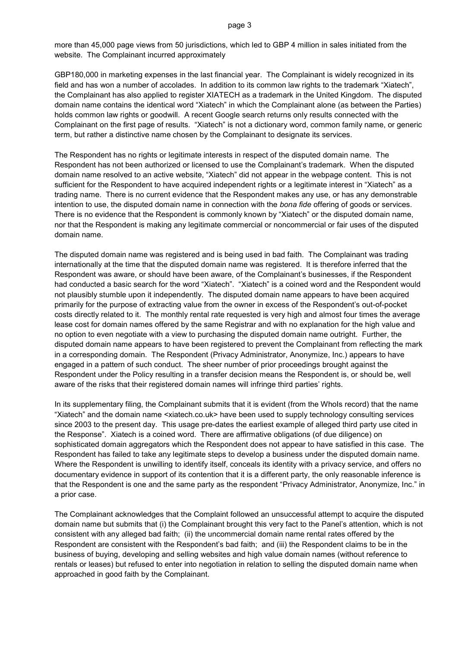more than 45,000 page views from 50 jurisdictions, which led to GBP 4 million in sales initiated from the website. The Complainant incurred approximately

GBP180,000 in marketing expenses in the last financial year. The Complainant is widely recognized in its field and has won a number of accolades. In addition to its common law rights to the trademark "Xiatech", the Complainant has also applied to register XIATECH as a trademark in the United Kingdom. The disputed domain name contains the identical word "Xiatech" in which the Complainant alone (as between the Parties) holds common law rights or goodwill. A recent Google search returns only results connected with the Complainant on the first page of results. "Xiatech" is not a dictionary word, common family name, or generic term, but rather a distinctive name chosen by the Complainant to designate its services.

The Respondent has no rights or legitimate interests in respect of the disputed domain name. The Respondent has not been authorized or licensed to use the Complainant's trademark. When the disputed domain name resolved to an active website, "Xiatech" did not appear in the webpage content. This is not sufficient for the Respondent to have acquired independent rights or a legitimate interest in "Xiatech" as a trading name. There is no current evidence that the Respondent makes any use, or has any demonstrable intention to use, the disputed domain name in connection with the *bona fide* offering of goods or services. There is no evidence that the Respondent is commonly known by "Xiatech" or the disputed domain name, nor that the Respondent is making any legitimate commercial or noncommercial or fair uses of the disputed domain name.

The disputed domain name was registered and is being used in bad faith. The Complainant was trading internationally at the time that the disputed domain name was registered. It is therefore inferred that the Respondent was aware, or should have been aware, of the Complainant's businesses, if the Respondent had conducted a basic search for the word "Xiatech". "Xiatech" is a coined word and the Respondent would not plausibly stumble upon it independently. The disputed domain name appears to have been acquired primarily for the purpose of extracting value from the owner in excess of the Respondent's out-of-pocket costs directly related to it. The monthly rental rate requested is very high and almost four times the average lease cost for domain names offered by the same Registrar and with no explanation for the high value and no option to even negotiate with a view to purchasing the disputed domain name outright. Further, the disputed domain name appears to have been registered to prevent the Complainant from reflecting the mark in a corresponding domain. The Respondent (Privacy Administrator, Anonymize, Inc.) appears to have engaged in a pattern of such conduct. The sheer number of prior proceedings brought against the Respondent under the Policy resulting in a transfer decision means the Respondent is, or should be, well aware of the risks that their registered domain names will infringe third parties' rights.

In its supplementary filing, the Complainant submits that it is evident (from the WhoIs record) that the name "Xiatech" and the domain name <xiatech.co.uk> have been used to supply technology consulting services since 2003 to the present day. This usage pre-dates the earliest example of alleged third party use cited in the Response". Xiatech is a coined word. There are affirmative obligations (of due diligence) on sophisticated domain aggregators which the Respondent does not appear to have satisfied in this case. The Respondent has failed to take any legitimate steps to develop a business under the disputed domain name. Where the Respondent is unwilling to identify itself, conceals its identity with a privacy service, and offers no documentary evidence in support of its contention that it is a different party, the only reasonable inference is that the Respondent is one and the same party as the respondent "Privacy Administrator, Anonymize, Inc." in a prior case.

The Complainant acknowledges that the Complaint followed an unsuccessful attempt to acquire the disputed domain name but submits that (i) the Complainant brought this very fact to the Panel's attention, which is not consistent with any alleged bad faith; (ii) the uncommercial domain name rental rates offered by the Respondent are consistent with the Respondent's bad faith; and (iii) the Respondent claims to be in the business of buying, developing and selling websites and high value domain names (without reference to rentals or leases) but refused to enter into negotiation in relation to selling the disputed domain name when approached in good faith by the Complainant.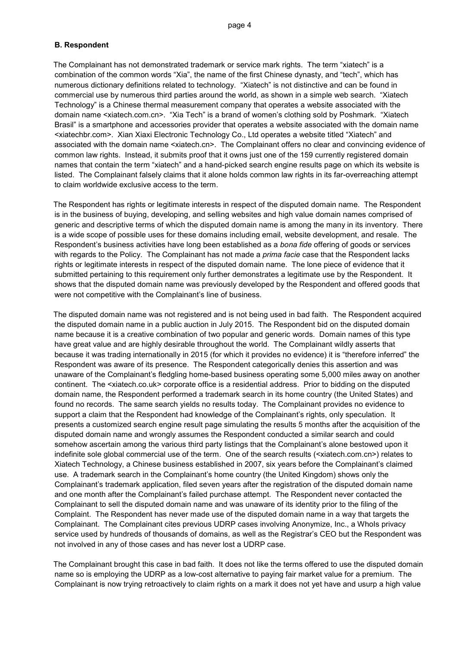#### **B. Respondent**

The Complainant has not demonstrated trademark or service mark rights. The term "xiatech" is a combination of the common words "Xia", the name of the first Chinese dynasty, and "tech", which has numerous dictionary definitions related to technology. "Xiatech" is not distinctive and can be found in commercial use by numerous third parties around the world, as shown in a simple web search. "Xiatech Technology" is a Chinese thermal measurement company that operates a website associated with the domain name <xiatech.com.cn>. "Xia Tech" is a brand of women's clothing sold by Poshmark. "Xiatech Brasil" is a smartphone and accessories provider that operates a website associated with the domain name <xiatechbr.com>. Xian Xiaxi Electronic Technology Co., Ltd operates a website titled "Xiatech" and associated with the domain name <xiatech.cn>. The Complainant offers no clear and convincing evidence of common law rights. Instead, it submits proof that it owns just one of the 159 currently registered domain names that contain the term "xiatech" and a hand-picked search engine results page on which its website is listed. The Complainant falsely claims that it alone holds common law rights in its far-overreaching attempt to claim worldwide exclusive access to the term.

The Respondent has rights or legitimate interests in respect of the disputed domain name. The Respondent is in the business of buying, developing, and selling websites and high value domain names comprised of generic and descriptive terms of which the disputed domain name is among the many in its inventory. There is a wide scope of possible uses for these domains including email, website development, and resale. The Respondent's business activities have long been established as a *bona fide* offering of goods or services with regards to the Policy. The Complainant has not made a *prima facie* case that the Respondent lacks rights or legitimate interests in respect of the disputed domain name. The lone piece of evidence that it submitted pertaining to this requirement only further demonstrates a legitimate use by the Respondent. It shows that the disputed domain name was previously developed by the Respondent and offered goods that were not competitive with the Complainant's line of business.

The disputed domain name was not registered and is not being used in bad faith. The Respondent acquired the disputed domain name in a public auction in July 2015. The Respondent bid on the disputed domain name because it is a creative combination of two popular and generic words. Domain names of this type have great value and are highly desirable throughout the world. The Complainant wildly asserts that because it was trading internationally in 2015 (for which it provides no evidence) it is "therefore inferred" the Respondent was aware of its presence. The Respondent categorically denies this assertion and was unaware of the Complainant's fledgling home-based business operating some 5,000 miles away on another continent. The <xiatech.co.uk> corporate office is a residential address. Prior to bidding on the disputed domain name, the Respondent performed a trademark search in its home country (the United States) and found no records. The same search yields no results today. The Complainant provides no evidence to support a claim that the Respondent had knowledge of the Complainant's rights, only speculation. It presents a customized search engine result page simulating the results 5 months after the acquisition of the disputed domain name and wrongly assumes the Respondent conducted a similar search and could somehow ascertain among the various third party listings that the Complainant's alone bestowed upon it indefinite sole global commercial use of the term. One of the search results (<xiatech.com.cn>) relates to Xiatech Technology, a Chinese business established in 2007, six years before the Complainant's claimed use. A trademark search in the Complainant's home country (the United Kingdom) shows only the Complainant's trademark application, filed seven years after the registration of the disputed domain name and one month after the Complainant's failed purchase attempt. The Respondent never contacted the Complainant to sell the disputed domain name and was unaware of its identity prior to the filing of the Complaint. The Respondent has never made use of the disputed domain name in a way that targets the Complainant. The Complainant cites previous UDRP cases involving Anonymize, Inc., a WhoIs privacy service used by hundreds of thousands of domains, as well as the Registrar's CEO but the Respondent was not involved in any of those cases and has never lost a UDRP case.

The Complainant brought this case in bad faith. It does not like the terms offered to use the disputed domain name so is employing the UDRP as a low-cost alternative to paying fair market value for a premium. The Complainant is now trying retroactively to claim rights on a mark it does not yet have and usurp a high value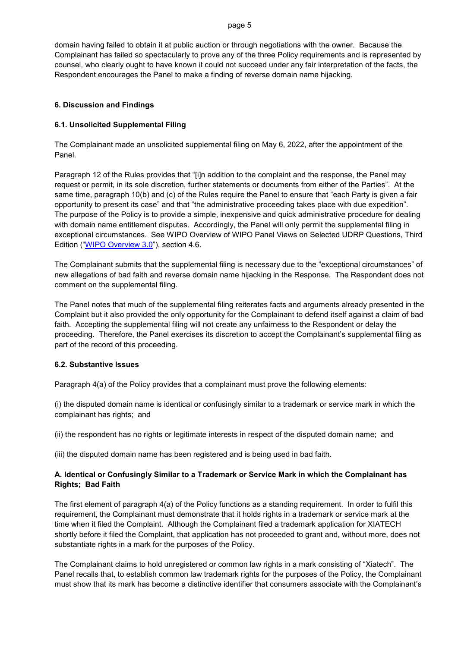#### page 5

domain having failed to obtain it at public auction or through negotiations with the owner. Because the Complainant has failed so spectacularly to prove any of the three Policy requirements and is represented by counsel, who clearly ought to have known it could not succeed under any fair interpretation of the facts, the Respondent encourages the Panel to make a finding of reverse domain name hijacking.

#### **6. Discussion and Findings**

#### **6.1. Unsolicited Supplemental Filing**

The Complainant made an unsolicited supplemental filing on May 6, 2022, after the appointment of the Panel.

Paragraph 12 of the Rules provides that "[i]n addition to the complaint and the response, the Panel may request or permit, in its sole discretion, further statements or documents from either of the Parties". At the same time, paragraph 10(b) and (c) of the Rules require the Panel to ensure that "each Party is given a fair opportunity to present its case" and that "the administrative proceeding takes place with due expedition". The purpose of the Policy is to provide a simple, inexpensive and quick administrative procedure for dealing with domain name entitlement disputes. Accordingly, the Panel will only permit the supplemental filing in exceptional circumstances. See WIPO Overview of WIPO Panel Views on Selected UDRP Questions, Third Edition (["WIPO Overview 3.0"](https://www.wipo.int/amc/en/domains/search/overview3.0/)), section 4.6.

The Complainant submits that the supplemental filing is necessary due to the "exceptional circumstances" of new allegations of bad faith and reverse domain name hijacking in the Response. The Respondent does not comment on the supplemental filing.

The Panel notes that much of the supplemental filing reiterates facts and arguments already presented in the Complaint but it also provided the only opportunity for the Complainant to defend itself against a claim of bad faith. Accepting the supplemental filing will not create any unfairness to the Respondent or delay the proceeding. Therefore, the Panel exercises its discretion to accept the Complainant's supplemental filing as part of the record of this proceeding.

#### **6.2. Substantive Issues**

Paragraph 4(a) of the Policy provides that a complainant must prove the following elements:

(i) the disputed domain name is identical or confusingly similar to a trademark or service mark in which the complainant has rights; and

(ii) the respondent has no rights or legitimate interests in respect of the disputed domain name; and

(iii) the disputed domain name has been registered and is being used in bad faith.

#### **A. Identical or Confusingly Similar to a Trademark or Service Mark in which the Complainant has Rights; Bad Faith**

The first element of paragraph 4(a) of the Policy functions as a standing requirement. In order to fulfil this requirement, the Complainant must demonstrate that it holds rights in a trademark or service mark at the time when it filed the Complaint. Although the Complainant filed a trademark application for XIATECH shortly before it filed the Complaint, that application has not proceeded to grant and, without more, does not substantiate rights in a mark for the purposes of the Policy.

The Complainant claims to hold unregistered or common law rights in a mark consisting of "Xiatech". The Panel recalls that, to establish common law trademark rights for the purposes of the Policy, the Complainant must show that its mark has become a distinctive identifier that consumers associate with the Complainant's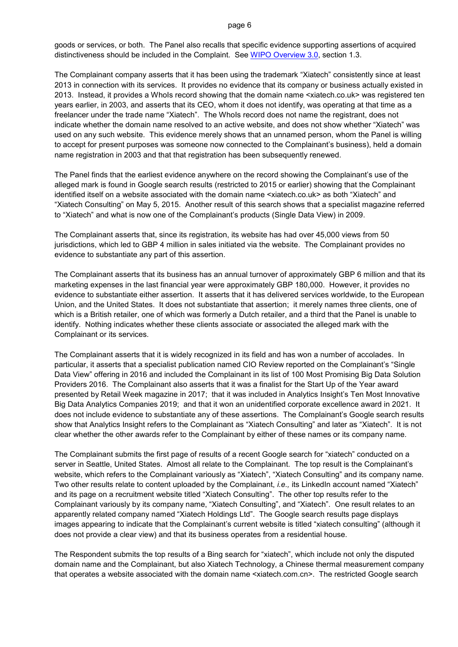#### page 6

goods or services, or both. The Panel also recalls that specific evidence supporting assertions of acquired distinctiveness should be included in the Complaint. See [WIPO Overview 3.0,](https://www.wipo.int/amc/en/domains/search/overview3.0/) section 1.3.

The Complainant company asserts that it has been using the trademark "Xiatech" consistently since at least 2013 in connection with its services. It provides no evidence that its company or business actually existed in 2013. Instead, it provides a WhoIs record showing that the domain name <xiatech.co.uk> was registered ten years earlier, in 2003, and asserts that its CEO, whom it does not identify, was operating at that time as a freelancer under the trade name "Xiatech". The WhoIs record does not name the registrant, does not indicate whether the domain name resolved to an active website, and does not show whether "Xiatech" was used on any such website. This evidence merely shows that an unnamed person, whom the Panel is willing to accept for present purposes was someone now connected to the Complainant's business), held a domain name registration in 2003 and that that registration has been subsequently renewed.

The Panel finds that the earliest evidence anywhere on the record showing the Complainant's use of the alleged mark is found in Google search results (restricted to 2015 or earlier) showing that the Complainant identified itself on a website associated with the domain name <xiatech.co.uk> as both "Xiatech" and "Xiatech Consulting" on May 5, 2015. Another result of this search shows that a specialist magazine referred to "Xiatech" and what is now one of the Complainant's products (Single Data View) in 2009.

The Complainant asserts that, since its registration, its website has had over 45,000 views from 50 jurisdictions, which led to GBP 4 million in sales initiated via the website. The Complainant provides no evidence to substantiate any part of this assertion.

The Complainant asserts that its business has an annual turnover of approximately GBP 6 million and that its marketing expenses in the last financial year were approximately GBP 180,000. However, it provides no evidence to substantiate either assertion. It asserts that it has delivered services worldwide, to the European Union, and the United States. It does not substantiate that assertion; it merely names three clients, one of which is a British retailer, one of which was formerly a Dutch retailer, and a third that the Panel is unable to identify. Nothing indicates whether these clients associate or associated the alleged mark with the Complainant or its services.

The Complainant asserts that it is widely recognized in its field and has won a number of accolades. In particular, it asserts that a specialist publication named CIO Review reported on the Complainant's "Single Data View" offering in 2016 and included the Complainant in its list of 100 Most Promising Big Data Solution Providers 2016. The Complainant also asserts that it was a finalist for the Start Up of the Year award presented by Retail Week magazine in 2017; that it was included in Analytics Insight's Ten Most Innovative Big Data Analytics Companies 2019; and that it won an unidentified corporate excellence award in 2021. It does not include evidence to substantiate any of these assertions. The Complainant's Google search results show that Analytics Insight refers to the Complainant as "Xiatech Consulting" and later as "Xiatech". It is not clear whether the other awards refer to the Complainant by either of these names or its company name.

The Complainant submits the first page of results of a recent Google search for "xiatech" conducted on a server in Seattle, United States. Almost all relate to the Complainant. The top result is the Complainant's website, which refers to the Complainant variously as "Xiatech", "Xiatech Consulting" and its company name. Two other results relate to content uploaded by the Complainant, *i.e.,* its LinkedIn account named "Xiatech" and its page on a recruitment website titled "Xiatech Consulting". The other top results refer to the Complainant variously by its company name, "Xiatech Consulting", and "Xiatech". One result relates to an apparently related company named "Xiatech Holdings Ltd". The Google search results page displays images appearing to indicate that the Complainant's current website is titled "xiatech consulting" (although it does not provide a clear view) and that its business operates from a residential house.

The Respondent submits the top results of a Bing search for "xiatech", which include not only the disputed domain name and the Complainant, but also Xiatech Technology, a Chinese thermal measurement company that operates a website associated with the domain name <xiatech.com.cn>. The restricted Google search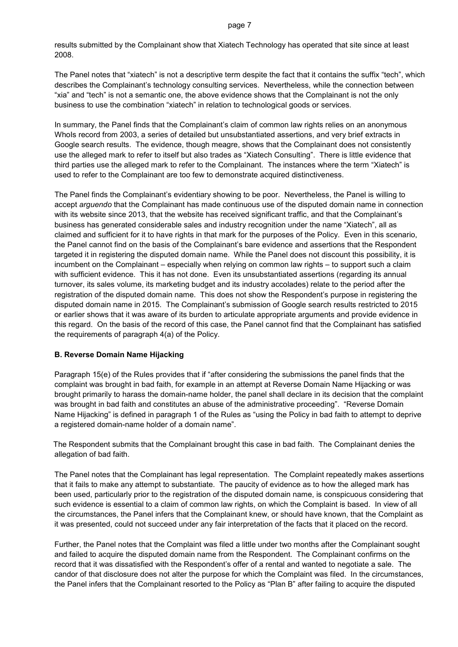results submitted by the Complainant show that Xiatech Technology has operated that site since at least 2008.

The Panel notes that "xiatech" is not a descriptive term despite the fact that it contains the suffix "tech", which describes the Complainant's technology consulting services. Nevertheless, while the connection between "xia" and "tech" is not a semantic one, the above evidence shows that the Complainant is not the only business to use the combination "xiatech" in relation to technological goods or services.

In summary, the Panel finds that the Complainant's claim of common law rights relies on an anonymous WhoIs record from 2003, a series of detailed but unsubstantiated assertions, and very brief extracts in Google search results. The evidence, though meagre, shows that the Complainant does not consistently use the alleged mark to refer to itself but also trades as "Xiatech Consulting". There is little evidence that third parties use the alleged mark to refer to the Complainant. The instances where the term "Xiatech" is used to refer to the Complainant are too few to demonstrate acquired distinctiveness.

The Panel finds the Complainant's evidentiary showing to be poor. Nevertheless, the Panel is willing to accept *arguendo* that the Complainant has made continuous use of the disputed domain name in connection with its website since 2013, that the website has received significant traffic, and that the Complainant's business has generated considerable sales and industry recognition under the name "Xiatech", all as claimed and sufficient for it to have rights in that mark for the purposes of the Policy. Even in this scenario, the Panel cannot find on the basis of the Complainant's bare evidence and assertions that the Respondent targeted it in registering the disputed domain name. While the Panel does not discount this possibility, it is incumbent on the Complainant – especially when relying on common law rights – to support such a claim with sufficient evidence. This it has not done. Even its unsubstantiated assertions (regarding its annual turnover, its sales volume, its marketing budget and its industry accolades) relate to the period after the registration of the disputed domain name. This does not show the Respondent's purpose in registering the disputed domain name in 2015. The Complainant's submission of Google search results restricted to 2015 or earlier shows that it was aware of its burden to articulate appropriate arguments and provide evidence in this regard. On the basis of the record of this case, the Panel cannot find that the Complainant has satisfied the requirements of paragraph 4(a) of the Policy.

#### **B. Reverse Domain Name Hijacking**

Paragraph 15(e) of the Rules provides that if "after considering the submissions the panel finds that the complaint was brought in bad faith, for example in an attempt at Reverse Domain Name Hijacking or was brought primarily to harass the domain-name holder, the panel shall declare in its decision that the complaint was brought in bad faith and constitutes an abuse of the administrative proceeding". "Reverse Domain Name Hijacking" is defined in paragraph 1 of the Rules as "using the Policy in bad faith to attempt to deprive a registered domain-name holder of a domain name".

The Respondent submits that the Complainant brought this case in bad faith. The Complainant denies the allegation of bad faith.

The Panel notes that the Complainant has legal representation. The Complaint repeatedly makes assertions that it fails to make any attempt to substantiate. The paucity of evidence as to how the alleged mark has been used, particularly prior to the registration of the disputed domain name, is conspicuous considering that such evidence is essential to a claim of common law rights, on which the Complaint is based. In view of all the circumstances, the Panel infers that the Complainant knew, or should have known, that the Complaint as it was presented, could not succeed under any fair interpretation of the facts that it placed on the record.

Further, the Panel notes that the Complaint was filed a little under two months after the Complainant sought and failed to acquire the disputed domain name from the Respondent. The Complainant confirms on the record that it was dissatisfied with the Respondent's offer of a rental and wanted to negotiate a sale. The candor of that disclosure does not alter the purpose for which the Complaint was filed. In the circumstances, the Panel infers that the Complainant resorted to the Policy as "Plan B" after failing to acquire the disputed